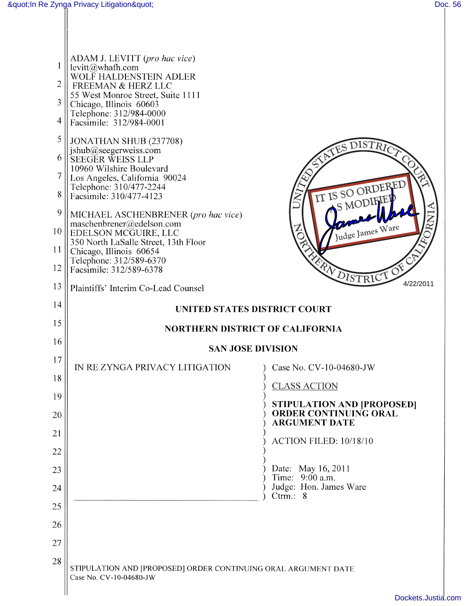| 2<br>3<br>4 | ADAM J. LEVITT (pro hac vice)<br>levitt@whafh.com<br>WOLF HALDENSTEIN ADLER<br>FREEMAN & HERZ LLC<br>55 West Monroe Street, Suite 1111<br>Chicago, Illinois 60603<br>Telephone: 312/984-0000<br>Facsimile: 312/984-0001 |                                                      |
|-------------|-------------------------------------------------------------------------------------------------------------------------------------------------------------------------------------------------------------------------|------------------------------------------------------|
| 5           | JONATHAN SHUB (237708)                                                                                                                                                                                                  |                                                      |
| 6           | jshub@seegerweiss.com<br>SEEGER WEISS LLP                                                                                                                                                                               | <b>ATES DISTRICT</b>                                 |
| 7           | 10960 Wilshire Boulevard<br>Los Angeles, California 90024                                                                                                                                                               |                                                      |
| 8           | Telephone: 310/477-2244<br>Facsimile: 310/477-4123                                                                                                                                                                      | IT IS SO ORDERED                                     |
| 9           | MICHAEL ASCHENBRENER (pro hac vice)<br>maschenbrener@edelson.com                                                                                                                                                        | S MODIFIEI<br>RNI                                    |
| 10          | EDELSON MCGUIRE, LLC<br>350 North LaSalle Street, 13th Floor                                                                                                                                                            | Judge James Ware                                     |
| 11          | Chicago, Illinois 60654<br>Telephone: 312/589-6370                                                                                                                                                                      |                                                      |
| 12          | Facsimile: 312/589-6378                                                                                                                                                                                                 | ERN DISTRICT OF                                      |
| 13          | Plaintiffs' Interim Co-Lead Counsel                                                                                                                                                                                     | 4/22/2011                                            |
| 14          | UNITED STATES DISTRICT COURT                                                                                                                                                                                            |                                                      |
| 15          | <b>NORTHERN DISTRICT OF CALIFORNIA</b>                                                                                                                                                                                  |                                                      |
| 16          | <b>SAN JOSE DIVISION</b>                                                                                                                                                                                                |                                                      |
| 17          | IN REZYNGA PRIVACY LITIGATION                                                                                                                                                                                           | Case No. CV-10-04680-JW                              |
| 18          |                                                                                                                                                                                                                         | <b>CLASS ACTION</b>                                  |
| 19          |                                                                                                                                                                                                                         | <b>STIPULATION AND [PROPOSED]</b>                    |
| 20          |                                                                                                                                                                                                                         | <b>ORDER CONTINUING ORAL</b><br><b>ARGUMENT DATE</b> |
| 21          |                                                                                                                                                                                                                         | ACTION FILED: 10/18/10                               |
| 22          |                                                                                                                                                                                                                         |                                                      |
| 23          |                                                                                                                                                                                                                         | Date: May 16, 2011<br>Time: 9:00 a.m.                |
| 24          |                                                                                                                                                                                                                         | Judge: Hon. James Ware<br>Ctrm.: $8$                 |
| 25          |                                                                                                                                                                                                                         |                                                      |
| 26          |                                                                                                                                                                                                                         |                                                      |
| 27          |                                                                                                                                                                                                                         |                                                      |
| 28          | STIPULATION AND [PROPOSED] ORDER CONTINUING ORAL ARGUMENT DATE<br>Case No. CV-10-04680-JW                                                                                                                               |                                                      |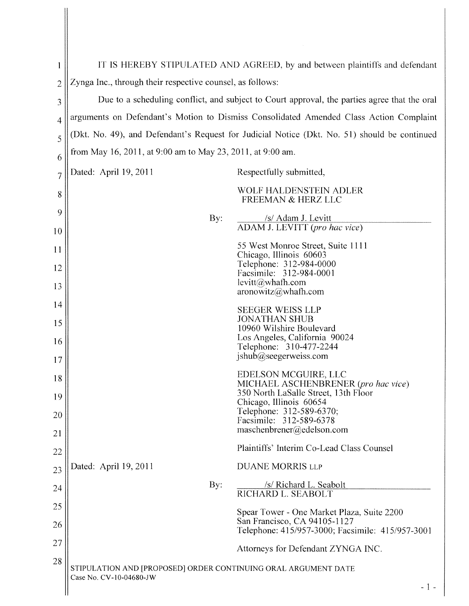| 1              | IT IS HEREBY STIPULATED AND AGREED, by and between plaintiffs and defendant                  |                                                                                                     |
|----------------|----------------------------------------------------------------------------------------------|-----------------------------------------------------------------------------------------------------|
| $\overline{2}$ | Zynga Inc., through their respective counsel, as follows:                                    |                                                                                                     |
| 3              | Due to a scheduling conflict, and subject to Court approval, the parties agree that the oral |                                                                                                     |
| $\overline{4}$ | arguments on Defendant's Motion to Dismiss Consolidated Amended Class Action Complaint       |                                                                                                     |
| 5              | (Dkt. No. 49), and Defendant's Request for Judicial Notice (Dkt. No. 51) should be continued |                                                                                                     |
| 6              | from May 16, 2011, at 9:00 am to May 23, 2011, at 9:00 am.                                   |                                                                                                     |
| $\overline{7}$ | Dated: April 19, 2011                                                                        | Respectfully submitted,                                                                             |
| 8              |                                                                                              | WOLF HALDENSTEIN ADLER<br><b>FREEMAN &amp; HERZ LLC</b>                                             |
| 9<br>10        | By:                                                                                          | /s/ Adam J. Levitt<br>ADAM J. LEVITT (pro hac vice)                                                 |
| <sup>11</sup>  |                                                                                              | 55 West Monroe Street, Suite 1111                                                                   |
| 12             |                                                                                              | Chicago, Illinois 60603<br>Telephone: 312-984-0000<br>Facsimile: 312-984-0001                       |
| 13             |                                                                                              | $levitt@$ whath.com<br>aronowitz@whafh.com                                                          |
| 14             |                                                                                              | <b>SEEGER WEISS LLP</b>                                                                             |
| 15             |                                                                                              | <b>JONATHAN SHUB</b><br>10960 Wilshire Boulevard                                                    |
| 16             |                                                                                              | Los Angeles, California 90024<br>Telephone: 310-477-2244                                            |
| 17             |                                                                                              | jshub@seegerweiss.com                                                                               |
| 18             |                                                                                              | EDELSON MCGUIRE, LLC<br>MICHAEL ASCHENBRENER (pro hac vice)<br>350 North LaSalle Street, 13th Floor |
| 19             |                                                                                              | Chicago, Illinois 60654<br>Telephone: 312-589-6370;                                                 |
| 20             |                                                                                              | Facsimile: 312-589-6378<br>maschenbrener@edelson.com                                                |
| 21             |                                                                                              | Plaintiffs' Interim Co-Lead Class Counsel                                                           |
| 22             | Dated: April 19, 2011                                                                        | <b>DUANE MORRIS LLP</b>                                                                             |
| 23             |                                                                                              | /s/ Richard L. Seabolt                                                                              |
| 24             | By:                                                                                          | RICHARD L. SEABOLT                                                                                  |
| 25             |                                                                                              | Spear Tower - One Market Plaza, Suite 2200                                                          |
| 26             |                                                                                              | San Francisco, CA 94105-1127<br>Telephone: 415/957-3000; Facsimile: 415/957-3001                    |
| 27             |                                                                                              | Attorneys for Defendant ZYNGA INC.                                                                  |
| 28             | STIPULATION AND [PROPOSED] ORDER CONTINUING ORAL ARGUMENT DATE                               |                                                                                                     |
|                | Case No. CV-10-04680-JW                                                                      | $-1-$                                                                                               |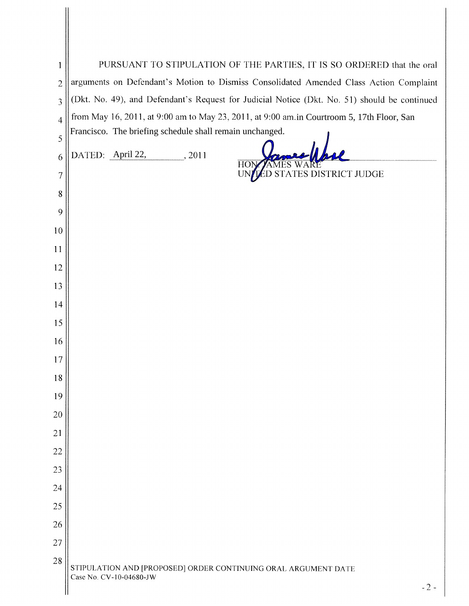| 1              | PURSUANT TO STIPULATION OF THE PARTIES, IT IS SO ORDERED that the oral                       |  |  |
|----------------|----------------------------------------------------------------------------------------------|--|--|
| $\overline{2}$ | arguments on Defendant's Motion to Dismiss Consolidated Amended Class Action Complaint       |  |  |
| 3              | (Dkt. No. 49), and Defendant's Request for Judicial Notice (Dkt. No. 51) should be continued |  |  |
| $\overline{4}$ | from May 16, 2011, at 9:00 am to May 23, 2011, at 9:00 am.in Courtroom 5, 17th Floor, San    |  |  |
| 5              | Francisco. The briefing schedule shall remain unchanged.                                     |  |  |
| 6              | DATED: April 22,<br>, 2011                                                                   |  |  |
| 7              | HON<br>STATES DISTRICT JUDGE                                                                 |  |  |
| 8              |                                                                                              |  |  |
| 9              |                                                                                              |  |  |
| 10             |                                                                                              |  |  |
| 11             |                                                                                              |  |  |
| 12             |                                                                                              |  |  |
| 13             |                                                                                              |  |  |
| 14             |                                                                                              |  |  |
| 15             |                                                                                              |  |  |
| 16             |                                                                                              |  |  |
| 17             |                                                                                              |  |  |
| 18             |                                                                                              |  |  |
| 19             |                                                                                              |  |  |
| 20             |                                                                                              |  |  |
| 21             |                                                                                              |  |  |
| 22             |                                                                                              |  |  |
| 23             |                                                                                              |  |  |
| 24             |                                                                                              |  |  |
| 25             |                                                                                              |  |  |
| 26             |                                                                                              |  |  |
| 27             |                                                                                              |  |  |
| 28             | STIPULATION AND [PROPOSED] ORDER CONTINUING ORAL ARGUMENT DATE                               |  |  |
|                | Case No. CV-10-04680-JW<br>$-2-$                                                             |  |  |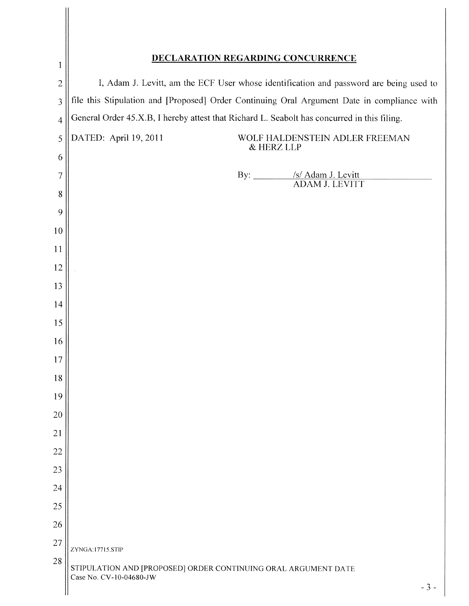| $\mathbf{1}$   | <b>DECLARATION REGARDING CONCURRENCE</b>                                                           |  |
|----------------|----------------------------------------------------------------------------------------------------|--|
| $\overline{2}$ | I, Adam J. Levitt, am the ECF User whose identification and password are being used to             |  |
| 3              | file this Stipulation and [Proposed] Order Continuing Oral Argument Date in compliance with        |  |
| $\overline{4}$ | General Order 45.X.B, I hereby attest that Richard L. Seabolt has concurred in this filing.        |  |
| 5              | DATED: April 19, 2011<br>WOLF HALDENSTEIN ADLER FREEMAN<br>& HERZ LLP                              |  |
| 6              |                                                                                                    |  |
| $\overline{7}$ | By: <u>/s/ Adam J. Levitt</u><br>ADAM J. LEVITT                                                    |  |
| 8<br>9         |                                                                                                    |  |
| 10             |                                                                                                    |  |
| 11             |                                                                                                    |  |
| 12             |                                                                                                    |  |
| 13             |                                                                                                    |  |
| 14             |                                                                                                    |  |
| 15             |                                                                                                    |  |
| 16             |                                                                                                    |  |
| 17             |                                                                                                    |  |
| 18             |                                                                                                    |  |
| 19             |                                                                                                    |  |
| 20             |                                                                                                    |  |
| 21             |                                                                                                    |  |
| 22             |                                                                                                    |  |
| 23             |                                                                                                    |  |
| 24             |                                                                                                    |  |
| 25             |                                                                                                    |  |
| 26             |                                                                                                    |  |
| 27             | ZYNGA:17715.STIP                                                                                   |  |
| 28             | STIPULATION AND [PROPOSED] ORDER CONTINUING ORAL ARGUMENT DATE<br>Case No. CV-10-04680-JW<br>$-3-$ |  |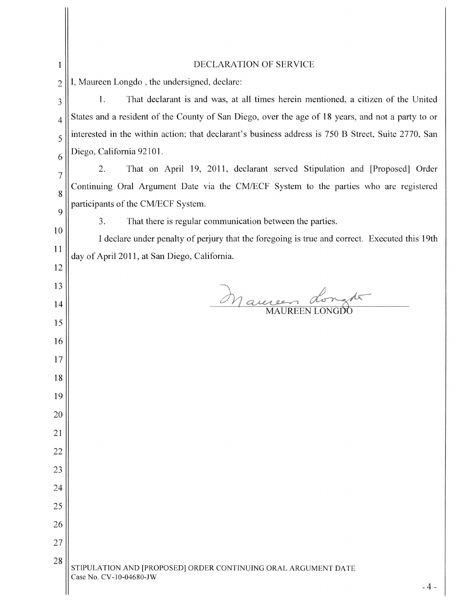| 1              | DECLARATION OF SERVICE                                                                              |
|----------------|-----------------------------------------------------------------------------------------------------|
| $\overline{c}$ | I, Maureen Longdo, the undersigned, declare:                                                        |
| 3              | That declarant is and was, at all times herein mentioned, a citizen of the United<br>1.             |
| 4              | States and a resident of the County of San Diego, over the age of 18 years, and not a party to or   |
| 5              | interested in the within action; that declarant's business address is 750 B Street, Suite 2770, San |
| 6              | Diego, California 92101.                                                                            |
| $\overline{7}$ | That on April 19, 2011, declarant served Stipulation and [Proposed] Order<br>2.                     |
| 8              | Continuing Oral Argument Date via the CM/ECF System to the parties who are registered               |
| 9              | participants of the CM/ECF System.                                                                  |
| 10             | 3.<br>That there is regular communication between the parties.                                      |
| <sup>1</sup>   | I declare under penalty of perjury that the foregoing is true and correct. Executed this 19th       |
| 12             | day of April 2011, at San Diego, California.                                                        |
| 13             |                                                                                                     |
| 14             | Mauren dongte                                                                                       |
| 15             |                                                                                                     |
| 16             |                                                                                                     |
| 17             |                                                                                                     |
| 18             |                                                                                                     |
| 19             |                                                                                                     |
| 20             |                                                                                                     |
| 21             |                                                                                                     |
| 22             |                                                                                                     |
| 23             |                                                                                                     |
| 24             |                                                                                                     |
| 25             |                                                                                                     |
| 26             |                                                                                                     |
| 27             |                                                                                                     |
| 28             | STIPULATION AND [PROPOSED] ORDER CONTINUING ORAL ARGUMENT DATE<br>Case No. CV-10-04680-JW<br>$-4-$  |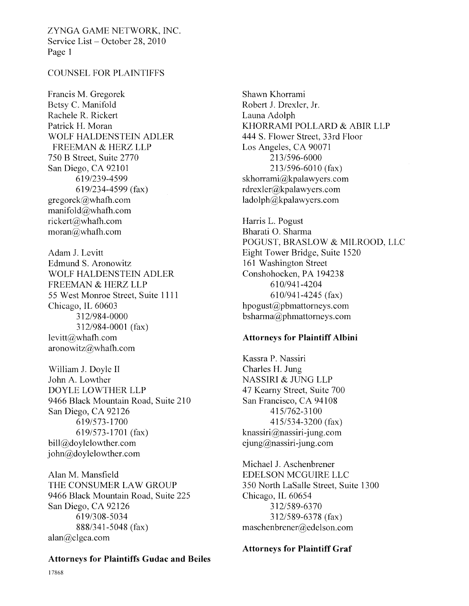ZYNGA GAME NETWORK, INC. Service List — October 28, 2010 Page <sup>1</sup>

# COUNSEL FOR PLAINTIFFS

Francis M. Gregorek Betsy C. Manifold Rachele R. Rickert Patrick H. Moran WOLF HALDENSTEIN ADLER FREEMAN & HERZ LLP 750 B Street, Suite 2770 San Diego, CA 92101 619/239-4599 619/234-4599 (fax)  $grepcek@$ whafh.com manifold@whath.com rickert@whath.com  $moran(\alpha)$ whafh.com

Adam J. Levitt Edmund S. Aronowitz WOLF HALDENSTEIN ADLER FREEMAN & HERZ LLP 55 West Monroe Street, Suite 1111 Chicago, IL 60603 312/984-0000 312/984-0001 (fax)  $levitt@$ whafh.com aronowitz@whath.com

William J. Doyle II John A. Lowther DOYLE LOWTHER LLP 9466 Black Mountain Road, Suite 210 San Diego, CA 92126 619/573-1700 619/573-1701 (fax) bill@doylelowther.com  $john@doylelowther.com$ 

Alan M. Mansfield THE CONSUMER LAW GROUP 9466 Black Mountain Road, Suite 225 San Diego, CA 92126 619/308-5034 888/341-5048 (fax) alan@clgca.com

#### Attorneys for Plaintiffs Gudac and Beiles

Shawn Khorrami Robert J. Drexler, Jr. Launa Adolph KHORRAMI POLLARD & ABIR LLP 444 S. Flower Street, 33rd Floor Los Angeles, CA 90071 213/596-6000 213/596-6010 (fax) skhorrami@kpalawyers.com rdrexler@kpalawyers.com ladolph@kpalawyers.com

Harris L. Pogust Bharati 0. Sharma POGUST, BRASLOW & MILROOD, LIC Eight Tower Bridge, Suite 1520 161 Washington Street Conshohocken, PA 194238 610/941-4204 610/941-4245 (fax)  $h$ pogust $(a)$ pbmattorneys.com bsharrna@phrnattorneys.com

#### Attorneys for Plaintiff Albini

Kassra P. Nassiri Charles H. Jung NASSIRI & JUNG LLP 47 Kearny Street, Suite 700 San Francisco, CA 94108 415/762-3100 415/534-3200 (fax) knassiri@nassiri-jung.com  $ejung@nassiri-jung.com$ 

Michael J. Aschenbrener EDELSON MCGUIRE LLC 350 North LaSalle Street, Suite 1300 Chicago, IL 60654 312/589-6370 312/589-6378 (fax) maschenbrener@edelson.com

### Attorneys for Plaintiff Graf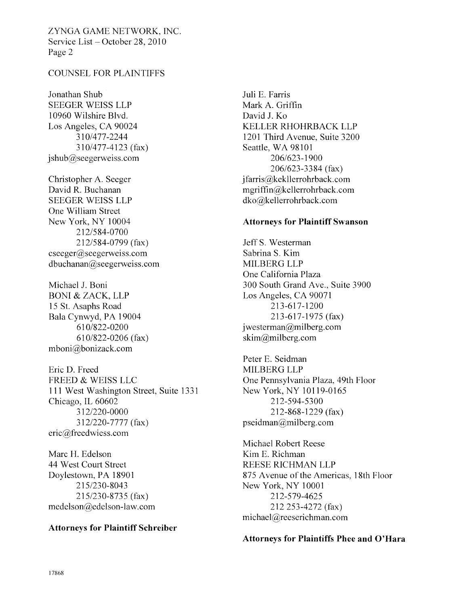ZYNGA GAME NETWORK, INC. Service List - October 28, 2010 Page 2

### COUNSEL FOR PLAINTIFFS

Jonathan Shub SEEGER WEISS LLP 10960 Wilshire Blvd. Los Angeles, CA 90024 310/477-2244 310/477-4123 (fax) jshub@seegerweiss.com

Christopher A. Seeger David R. Buchanan SEEGER WEISS LLP One William Street New York, NY 10004 212/584-0700 212/584-0799 (fax) eseeger@seegerweiss.com  $dbuchanan@see$ gerweiss.com

Michael J. Boni BONI & ZACK, LLP 15 St. Asaphs Road Bala Cynwyd, PA 19004 610/822-0200 610/822-0206 (fax) mboni@bonizack.com

Eric D. Freed FREED & WEISS LLC 111 West Washington Street, Suite 1331 Chicago, IL 60602 312/220-0000 312/220-7777 (fax) eric@freedwiess.com

Marc H. Edelson 44 West Court Street Doylestown, PA 18901 215/230-8043 215/230-8735 (fax) medelson@edelson-law. corn

#### Attorneys for Plaintiff Schreiber

Juli E. Farris Mark A. Griffin David J. Ko. KELLER RHOHRBACK LLP 1201 Third Avenue, Suite 3200 Seattle, WA 98101 206/623-1900 206/623-3384 (fax) jfarris@kekllerrohrback.com mgriffin@kellerrohrback.com dko@kellerrohrback.com

### Attorneys for Plaintiff Swanson

Jeff S. Westerman Sabrina S. Kim MILBERG LLP One California Plaza 300 South Grand Ave., Suite 3900 Los Angeles, CA 90071 213-617-1200 213-617-1975 (fax)  $i$  westerman $@$ milberg.com  $\text{skim}(\widehat{a}$ milberg.com

Peter E. Seidman MILBERG LLP One Pennsylvania Plaza, 49th Floor New York, NY 10119-0165 212-594-5300 212-868-1229 (fax) pseidman@milberg.com

Michael Robert Reese Kim E. Richrnan REESE RICHMAN LLP 875 Avenue of the Americas, 18th Floor New York, NY 10001 212-579-4625 212 253-4272 (fax) michael@reeserichman.com

#### Attorneys for Plaintiffs Phee and O'Hara